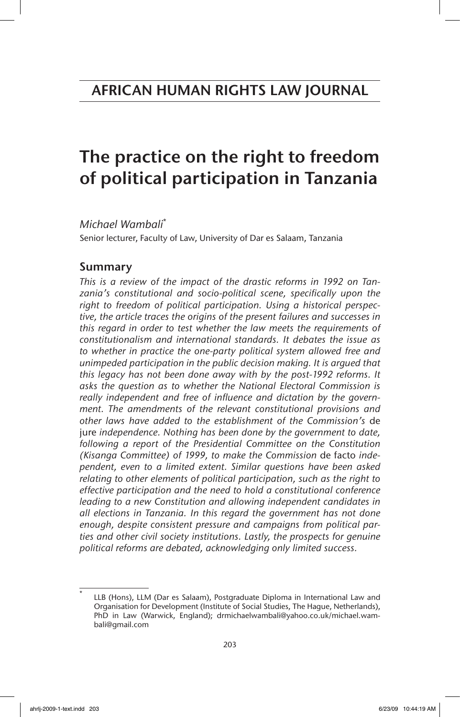# The practice on the right to freedom of political participation in Tanzania

*Michael Wambali*\*

Senior lecturer, Faculty of Law, University of Dar es Salaam, Tanzania

# Summary

*This is a review of the impact of the drastic reforms in 1992 on Tanzania's constitutional and socio-political scene, specifically upon the right to freedom of political participation. Using a historical perspective, the article traces the origins of the present failures and successes in this regard in order to test whether the law meets the requirements of constitutionalism and international standards. It debates the issue as to whether in practice the one-party political system allowed free and unimpeded participation in the public decision making. It is argued that this legacy has not been done away with by the post-1992 reforms. It asks the question as to whether the National Electoral Commission is really independent and free of influence and dictation by the government. The amendments of the relevant constitutional provisions and other laws have added to the establishment of the Commission's* de jure *independence. Nothing has been done by the government to date, following a report of the Presidential Committee on the Constitution (Kisanga Committee) of 1999, to make the Commission* de facto *independent, even to a limited extent. Similar questions have been asked relating to other elements of political participation, such as the right to effective participation and the need to hold a constitutional conference leading to a new Constitution and allowing independent candidates in all elections in Tanzania. In this regard the government has not done enough, despite consistent pressure and campaigns from political parties and other civil society institutions. Lastly, the prospects for genuine political reforms are debated, acknowledging only limited success.*

LLB (Hons), LLM (Dar es Salaam), Postgraduate Diploma in International Law and Organisation for Development (Institute of Social Studies, The Hague, Netherlands), PhD in Law (Warwick, England); drmichaelwambali@yahoo.co.uk/michael.wambali@gmail.com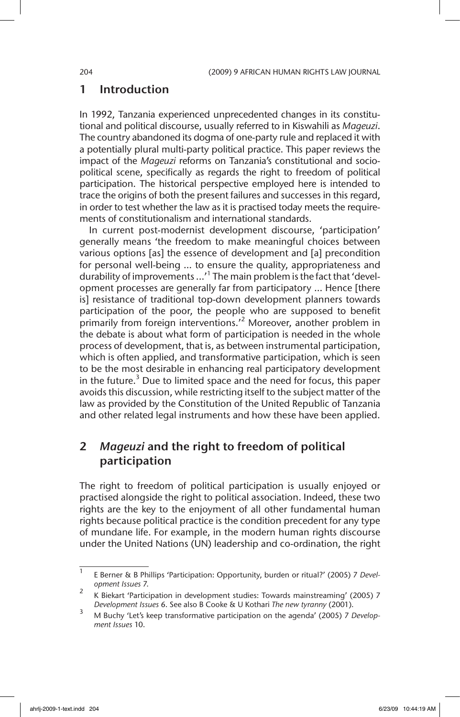## 1 Introduction

In 1992, Tanzania experienced unprecedented changes in its constitutional and political discourse, usually referred to in Kiswahili as *Mageuzi*. The country abandoned its dogma of one-party rule and replaced it with a potentially plural multi-party political practice. This paper reviews the impact of the *Mageuzi* reforms on Tanzania's constitutional and sociopolitical scene, specifically as regards the right to freedom of political participation. The historical perspective employed here is intended to trace the origins of both the present failures and successes in this regard, in order to test whether the law as it is practised today meets the requirements of constitutionalism and international standards.

In current post-modernist development discourse, 'participation' generally means 'the freedom to make meaningful choices between various options [as] the essence of development and [a] precondition for personal well-being … to ensure the quality, appropriateness and durability of improvements ...'<sup>1</sup> The main problem is the fact that 'development processes are generally far from participatory ... Hence [there is] resistance of traditional top-down development planners towards participation of the poor, the people who are supposed to benefit primarily from foreign interventions.<sup>2</sup> Moreover, another problem in the debate is about what form of participation is needed in the whole process of development, that is, as between instrumental participation, which is often applied, and transformative participation, which is seen to be the most desirable in enhancing real participatory development in the future.<sup>3</sup> Due to limited space and the need for focus, this paper avoids this discussion, while restricting itself to the subject matter of the law as provided by the Constitution of the United Republic of Tanzania and other related legal instruments and how these have been applied.

# 2 *Mageuzi* and the right to freedom of political participation

The right to freedom of political participation is usually enjoyed or practised alongside the right to political association. Indeed, these two rights are the key to the enjoyment of all other fundamental human rights because political practice is the condition precedent for any type of mundane life. For example, in the modern human rights discourse under the United Nations (UN) leadership and co-ordination, the right

<sup>1</sup> E Berner & B Phillips 'Participation: Opportunity, burden or ritual?' (2005) 7 *Development Issues* 7.

<sup>2</sup> K Biekart 'Participation in development studies: Towards mainstreaming' (2005) 7 *Development Issues* 6. See also B Cooke & U Kothari *The new tyranny* (2001).

<sup>3</sup> M Buchy 'Let's keep transformative participation on the agenda' (2005) 7 *Development Issues* 10.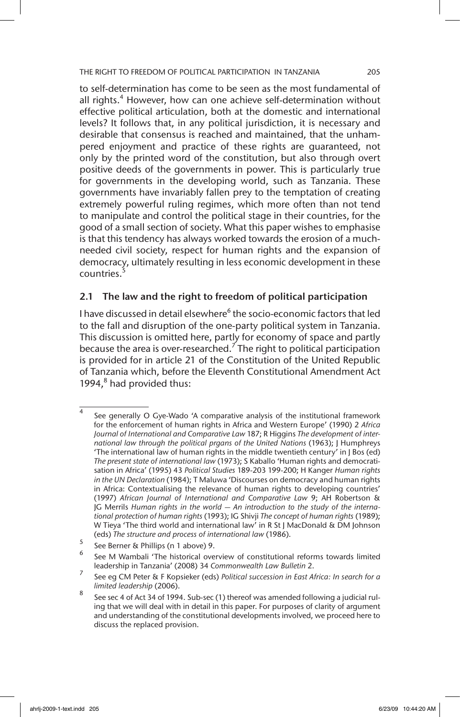to self-determination has come to be seen as the most fundamental of all rights.<sup>4</sup> However, how can one achieve self-determination without effective political articulation, both at the domestic and international levels? It follows that, in any political jurisdiction, it is necessary and desirable that consensus is reached and maintained, that the unhampered enjoyment and practice of these rights are guaranteed, not only by the printed word of the constitution, but also through overt positive deeds of the governments in power. This is particularly true for governments in the developing world, such as Tanzania. These governments have invariably fallen prey to the temptation of creating extremely powerful ruling regimes, which more often than not tend to manipulate and control the political stage in their countries, for the good of a small section of society. What this paper wishes to emphasise is that this tendency has always worked towards the erosion of a muchneeded civil society, respect for human rights and the expansion of democracy, ultimately resulting in less economic development in these countries.<sup>5</sup>

### 2.1 The law and the right to freedom of political participation

I have discussed in detail elsewhere<sup>6</sup> the socio-economic factors that led to the fall and disruption of the one-party political system in Tanzania. This discussion is omitted here, partly for economy of space and partly because the area is over-researched.<sup>7</sup> The right to political participation is provided for in article 21 of the Constitution of the United Republic of Tanzania which, before the Eleventh Constitutional Amendment Act 1994, $<sup>8</sup>$  had provided thus:</sup>

See generally O Gye-Wado 'A comparative analysis of the institutional framework for the enforcement of human rights in Africa and Western Europe' (1990) 2 *Africa Journal of International and Comparative Law* 187; R Higgins *The development of international law through the political prgans of the United Nations* (1963); J Humphreys 'The international law of human rights in the middle twentieth century' in J Bos (ed) *The present state of international law* (1973); S Kaballo 'Human rights and democratisation in Africa' (1995) 43 *Political Studies* 189-203 199-200; H Kanger *Human rights in the UN Declaration* (1984); T Maluwa 'Discourses on democracy and human rights in Africa: Contextualising the relevance of human rights to developing countries' (1997) *African Journal of International and Comparative Law* 9; AH Robertson & JG Merrils *Human rights in the world — An introduction to the study of the international protection of human rights* (1993); IG Shivji *The concept of human rights* (1989); W Tieya 'The third world and international law' in R St J MacDonald & DM Johnson (eds) *The structure and process of international law* (1986).

 $\frac{5}{10}$  See Berner & Phillips (n 1 above) 9.

<sup>6</sup> See M Wambali 'The historical overview of constitutional reforms towards limited leadership in Tanzania' (2008) 34 *Commonwealth Law Bulletin* 2.

<sup>7</sup> See eg CM Peter & F Kopsieker (eds) *Political succession in East Africa: In search for a limited leadership* (2006).

<sup>&</sup>lt;sup>8</sup> See sec 4 of Act 34 of 1994. Sub-sec (1) thereof was amended following a judicial ruling that we will deal with in detail in this paper. For purposes of clarity of argument and understanding of the constitutional developments involved, we proceed here to discuss the replaced provision.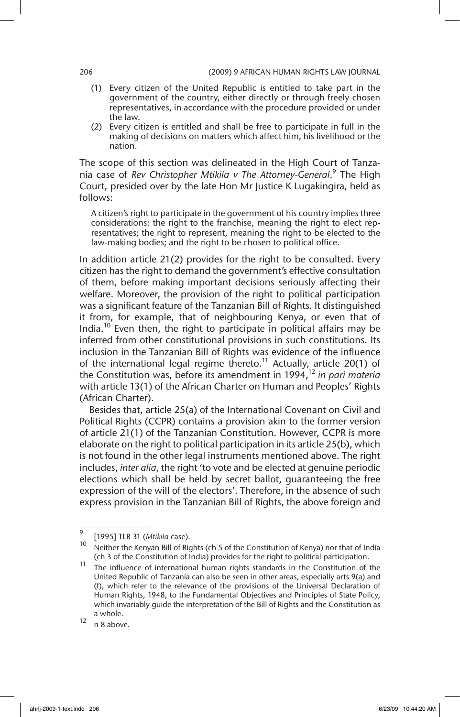- (1) Every citizen of the United Republic is entitled to take part in the government of the country, either directly or through freely chosen representatives, in accordance with the procedure provided or under the law.
- (2) Every citizen is entitled and shall be free to participate in full in the making of decisions on matters which affect him, his livelihood or the nation.

The scope of this section was delineated in the High Court of Tanzania case of *Rev Christopher Mtikila v The Attorney-General*. 9 The High Court, presided over by the late Hon Mr Justice K Lugakingira, held as follows:

A citizen's right to participate in the government of his country implies three considerations: the right to the franchise, meaning the right to elect representatives; the right to represent, meaning the right to be elected to the law-making bodies; and the right to be chosen to political office.

In addition article 21(2) provides for the right to be consulted. Every citizen has the right to demand the government's effective consultation of them, before making important decisions seriously affecting their welfare. Moreover, the provision of the right to political participation was a significant feature of the Tanzanian Bill of Rights. It distinguished it from, for example, that of neighbouring Kenya, or even that of India.<sup>10</sup> Even then, the right to participate in political affairs may be inferred from other constitutional provisions in such constitutions. Its inclusion in the Tanzanian Bill of Rights was evidence of the influence of the international legal regime thereto.<sup>11</sup> Actually, article 20(1) of the Constitution was, before its amendment in 1994,12 *in pari materia* with article 13(1) of the African Charter on Human and Peoples' Rights (African Charter).

Besides that, article 25(a) of the International Covenant on Civil and Political Rights (CCPR) contains a provision akin to the former version of article 21(1) of the Tanzanian Constitution. However, CCPR is more elaborate on the right to political participation in its article 25(b), which is not found in the other legal instruments mentioned above. The right includes, *inter alia*, the right 'to vote and be elected at genuine periodic elections which shall be held by secret ballot, guaranteeing the free expression of the will of the electors'. Therefore, in the absence of such express provision in the Tanzanian Bill of Rights, the above foreign and

<sup>9</sup> [1995] TLR 31 (*Mtikila* case).

Neither the Kenyan Bill of Rights (ch 5 of the Constitution of Kenya) nor that of India (ch 3 of the Constitution of India) provides for the right to political participation.

<sup>&</sup>lt;sup>11</sup> The influence of international human rights standards in the Constitution of the United Republic of Tanzania can also be seen in other areas, especially arts 9(a) and (f), which refer to the relevance of the provisions of the Universal Declaration of Human Rights, 1948, to the Fundamental Objectives and Principles of State Policy, which invariably guide the interpretation of the Bill of Rights and the Constitution as a whole.

 $12$  n 8 above.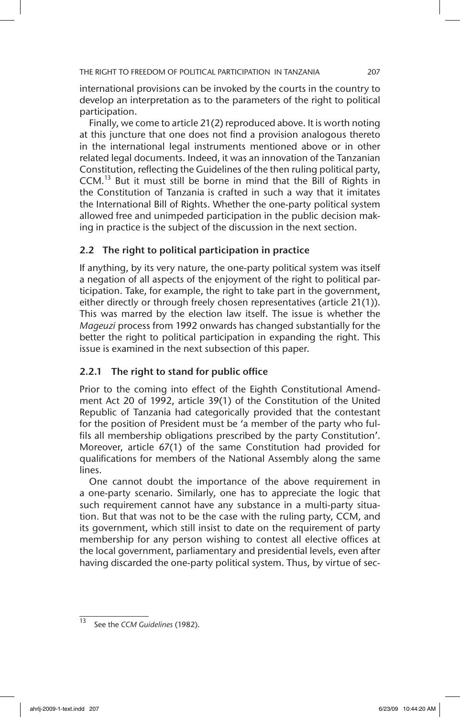international provisions can be invoked by the courts in the country to develop an interpretation as to the parameters of the right to political participation.

Finally, we come to article 21(2) reproduced above. It is worth noting at this juncture that one does not find a provision analogous thereto in the international legal instruments mentioned above or in other related legal documents. Indeed, it was an innovation of the Tanzanian Constitution, reflecting the Guidelines of the then ruling political party, CCM.13 But it must still be borne in mind that the Bill of Rights in the Constitution of Tanzania is crafted in such a way that it imitates the International Bill of Rights. Whether the one-party political system allowed free and unimpeded participation in the public decision making in practice is the subject of the discussion in the next section.

### 2.2 The right to political participation in practice

If anything, by its very nature, the one-party political system was itself a negation of all aspects of the enjoyment of the right to political participation. Take, for example, the right to take part in the government, either directly or through freely chosen representatives (article 21(1)). This was marred by the election law itself. The issue is whether the *Mageuzi* process from 1992 onwards has changed substantially for the better the right to political participation in expanding the right. This issue is examined in the next subsection of this paper.

### 2.2.1 The right to stand for public office

Prior to the coming into effect of the Eighth Constitutional Amendment Act 20 of 1992, article 39(1) of the Constitution of the United Republic of Tanzania had categorically provided that the contestant for the position of President must be 'a member of the party who fulfils all membership obligations prescribed by the party Constitution'. Moreover, article 67(1) of the same Constitution had provided for qualifications for members of the National Assembly along the same lines.

One cannot doubt the importance of the above requirement in a one-party scenario. Similarly, one has to appreciate the logic that such requirement cannot have any substance in a multi-party situation. But that was not to be the case with the ruling party, CCM, and its government, which still insist to date on the requirement of party membership for any person wishing to contest all elective offices at the local government, parliamentary and presidential levels, even after having discarded the one-party political system. Thus, by virtue of sec-

<sup>13</sup> See the *CCM Guidelines* (1982).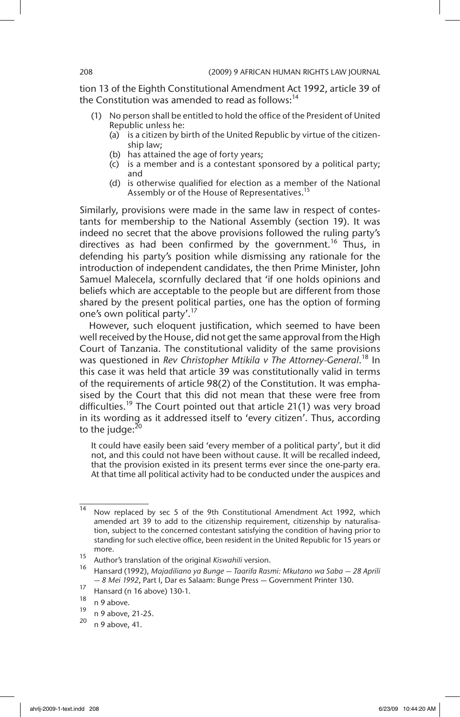tion 13 of the Eighth Constitutional Amendment Act 1992, article 39 of the Constitution was amended to read as follows: $14$ 

- (1) No person shall be entitled to hold the office of the President of United Republic unless he:
	- (a) is a citizen by birth of the United Republic by virtue of the citizenship law;
	- (b) has attained the age of forty years;
	- (c) is a member and is a contestant sponsored by a political party; and
	- (d) is otherwise qualified for election as a member of the National Assembly or of the House of Representatives.

Similarly, provisions were made in the same law in respect of contestants for membership to the National Assembly (section 19). It was indeed no secret that the above provisions followed the ruling party's directives as had been confirmed by the government.<sup>16</sup> Thus, in defending his party's position while dismissing any rationale for the introduction of independent candidates, the then Prime Minister, John Samuel Malecela, scornfully declared that 'if one holds opinions and beliefs which are acceptable to the people but are different from those shared by the present political parties, one has the option of forming one's own political party'.<sup>17</sup>

However, such eloquent justification, which seemed to have been well received by the House, did not get the same approval from the High Court of Tanzania. The constitutional validity of the same provisions was questioned in *Rev Christopher Mtikila v The Attorney-General*. 18 In this case it was held that article 39 was constitutionally valid in terms of the requirements of article 98(2) of the Constitution. It was emphasised by the Court that this did not mean that these were free from difficulties.<sup>19</sup> The Court pointed out that article 21(1) was very broad in its wording as it addressed itself to 'every citizen'. Thus, according to the judge: $20$ 

It could have easily been said 'every member of a political party', but it did not, and this could not have been without cause. It will be recalled indeed, that the provision existed in its present terms ever since the one-party era. At that time all political activity had to be conducted under the auspices and

<sup>14</sup> Now replaced by sec 5 of the 9th Constitutional Amendment Act 1992, which amended art 39 to add to the citizenship requirement, citizenship by naturalisation, subject to the concerned contestant satisfying the condition of having prior to standing for such elective office, been resident in the United Republic for 15 years or more.

<sup>15</sup> Author's translation of the original *Kiswahili* version.

<sup>16</sup> Hansard (1992), *Majadiliano ya Bunge — Taarifa Rasmi: Mkutano wa Saba — 28 Aprili — 8 Mei 1992*, Part I, Dar es Salaam: Bunge Press — Government Printer 130.

 $\frac{17}{18}$  Hansard (n 16 above) 130-1.

 $\frac{18}{19}$  n 9 above.

 $^{19}$  n 9 above, 21-25.

n 9 above, 41.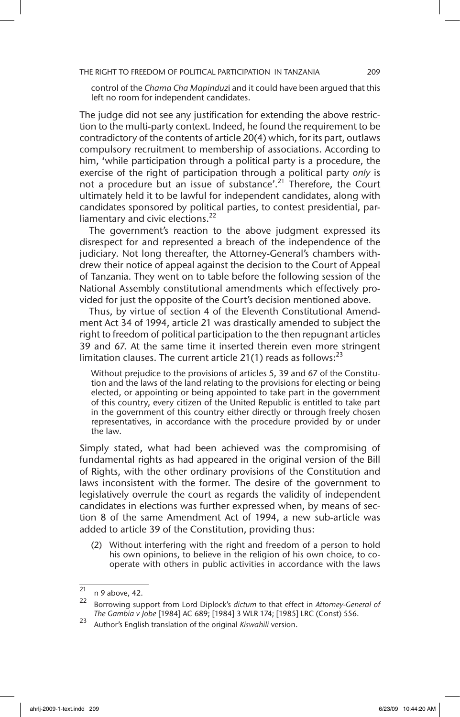control of the *Chama Cha Mapinduz*i and it could have been argued that this left no room for independent candidates.

The judge did not see any justification for extending the above restriction to the multi-party context. Indeed, he found the requirement to be contradictory of the contents of article 20(4) which, for its part, outlaws compulsory recruitment to membership of associations. According to him, 'while participation through a political party is a procedure, the exercise of the right of participation through a political party *only* is not a procedure but an issue of substance'.<sup>21</sup> Therefore, the Court ultimately held it to be lawful for independent candidates, along with candidates sponsored by political parties, to contest presidential, parliamentary and civic elections.<sup>22</sup>

The government's reaction to the above judgment expressed its disrespect for and represented a breach of the independence of the judiciary. Not long thereafter, the Attorney-General's chambers withdrew their notice of appeal against the decision to the Court of Appeal of Tanzania. They went on to table before the following session of the National Assembly constitutional amendments which effectively provided for just the opposite of the Court's decision mentioned above.

Thus, by virtue of section 4 of the Eleventh Constitutional Amendment Act 34 of 1994, article 21 was drastically amended to subject the right to freedom of political participation to the then repugnant articles 39 and 67. At the same time it inserted therein even more stringent limitation clauses. The current article 21(1) reads as follows:<sup>23</sup>

Without prejudice to the provisions of articles 5, 39 and 67 of the Constitution and the laws of the land relating to the provisions for electing or being elected, or appointing or being appointed to take part in the government of this country, every citizen of the United Republic is entitled to take part in the government of this country either directly or through freely chosen representatives, in accordance with the procedure provided by or under the law.

Simply stated, what had been achieved was the compromising of fundamental rights as had appeared in the original version of the Bill of Rights, with the other ordinary provisions of the Constitution and laws inconsistent with the former. The desire of the government to legislatively overrule the court as regards the validity of independent candidates in elections was further expressed when, by means of section 8 of the same Amendment Act of 1994, a new sub-article was added to article 39 of the Constitution, providing thus:

(2) Without interfering with the right and freedom of a person to hold his own opinions, to believe in the religion of his own choice, to cooperate with others in public activities in accordance with the laws

 $\frac{21}{22}$  n 9 above, 42.

<sup>22</sup> Borrowing support from Lord Diplock's *dictum* to that effect in *Attorney-General of The Gambia v Jobe* [1984] AC 689; [1984] 3 WLR 174; [1985] LRC (Const) 556.

<sup>23</sup> Author's English translation of the original *Kiswahili* version.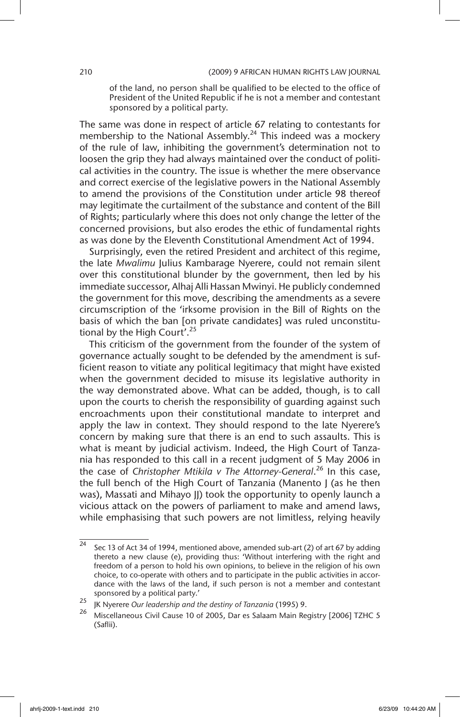of the land, no person shall be qualified to be elected to the office of President of the United Republic if he is not a member and contestant sponsored by a political party.

The same was done in respect of article 67 relating to contestants for membership to the National Assembly.<sup>24</sup> This indeed was a mockery of the rule of law, inhibiting the government's determination not to loosen the grip they had always maintained over the conduct of political activities in the country. The issue is whether the mere observance and correct exercise of the legislative powers in the National Assembly to amend the provisions of the Constitution under article 98 thereof may legitimate the curtailment of the substance and content of the Bill of Rights; particularly where this does not only change the letter of the concerned provisions, but also erodes the ethic of fundamental rights as was done by the Eleventh Constitutional Amendment Act of 1994.

Surprisingly, even the retired President and architect of this regime, the late *Mwalimu* Julius Kambarage Nyerere, could not remain silent over this constitutional blunder by the government, then led by his immediate successor, Alhaj Alli Hassan Mwinyi. He publicly condemned the government for this move, describing the amendments as a severe circumscription of the 'irksome provision in the Bill of Rights on the basis of which the ban [on private candidates] was ruled unconstitutional by the High Court'.<sup>25</sup>

This criticism of the government from the founder of the system of governance actually sought to be defended by the amendment is sufficient reason to vitiate any political legitimacy that might have existed when the government decided to misuse its legislative authority in the way demonstrated above. What can be added, though, is to call upon the courts to cherish the responsibility of guarding against such encroachments upon their constitutional mandate to interpret and apply the law in context. They should respond to the late Nyerere's concern by making sure that there is an end to such assaults. This is what is meant by judicial activism. Indeed, the High Court of Tanzania has responded to this call in a recent judgment of 5 May 2006 in the case of *Christopher Mtikila v The Attorney-General*. 26 In this case, the full bench of the High Court of Tanzania (Manento J (as he then was), Massati and Mihayo JJ) took the opportunity to openly launch a vicious attack on the powers of parliament to make and amend laws, while emphasising that such powers are not limitless, relying heavily

 $\frac{1}{24}$  Sec 13 of Act 34 of 1994, mentioned above, amended sub-art (2) of art 67 by adding thereto a new clause (e), providing thus: 'Without interfering with the right and freedom of a person to hold his own opinions, to believe in the religion of his own choice, to co-operate with others and to participate in the public activities in accordance with the laws of the land, if such person is not a member and contestant sponsored by a political party.'

<sup>25</sup> JK Nyerere *Our leadership and the destiny of Tanzania* (1995) 9.

<sup>26</sup> Miscellaneous Civil Cause 10 of 2005, Dar es Salaam Main Registry [2006] TZHC 5 (Saflii).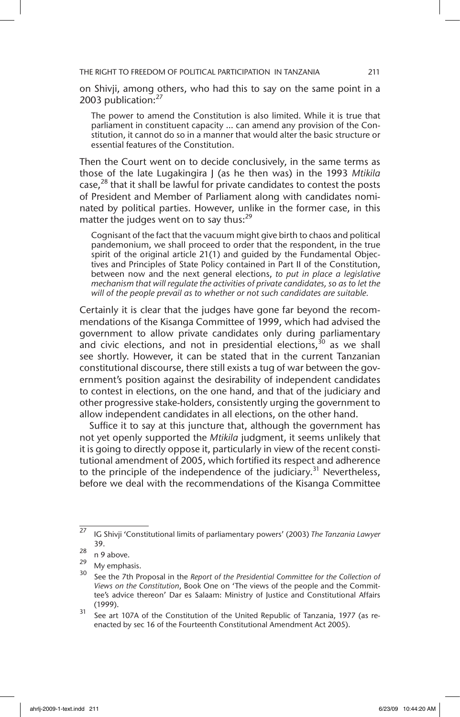on Shivji, among others, who had this to say on the same point in a 2003 publication:<sup>27</sup>

The power to amend the Constitution is also limited. While it is true that parliament in constituent capacity … can amend any provision of the Constitution, it cannot do so in a manner that would alter the basic structure or essential features of the Constitution.

Then the Court went on to decide conclusively, in the same terms as those of the late Lugakingira J (as he then was) in the 1993 *Mtikila* case,<sup>28</sup> that it shall be lawful for private candidates to contest the posts of President and Member of Parliament along with candidates nominated by political parties. However, unlike in the former case, in this matter the judges went on to say thus: $^{29}$ 

Cognisant of the fact that the vacuum might give birth to chaos and political pandemonium, we shall proceed to order that the respondent, in the true spirit of the original article 21(1) and guided by the Fundamental Objectives and Principles of State Policy contained in Part II of the Constitution, between now and the next general elections, *to put in place a legislative mechanism that will regulate the activities of private candidates, so as to let the will of the people prevail as to whether or not such candidates are suitable.*

Certainly it is clear that the judges have gone far beyond the recommendations of the Kisanga Committee of 1999, which had advised the government to allow private candidates only during parliamentary and civic elections, and not in presidential elections,  $30$  as we shall see shortly. However, it can be stated that in the current Tanzanian constitutional discourse, there still exists a tug of war between the government's position against the desirability of independent candidates to contest in elections, on the one hand, and that of the judiciary and other progressive stake-holders, consistently urging the government to allow independent candidates in all elections, on the other hand.

Suffice it to say at this juncture that, although the government has not yet openly supported the *Mtikila* judgment, it seems unlikely that it is going to directly oppose it, particularly in view of the recent constitutional amendment of 2005, which fortified its respect and adherence to the principle of the independence of the judiciary.<sup>31</sup> Nevertheless, before we deal with the recommendations of the Kisanga Committee

<sup>27</sup> IG Shivji 'Constitutional limits of parliamentary powers' (2003) *The Tanzania Lawyer* 39.

 $\frac{28}{29}$  n 9 above.

 $^{29}$  My emphasis.

<sup>30</sup> See the 7th Proposal in the *Report of the Presidential Committee for the Collection of Views on the Constitution*, Book One on 'The views of the people and the Committee's advice thereon' Dar es Salaam: Ministry of Justice and Constitutional Affairs (1999).

<sup>&</sup>lt;sup>31</sup> See art 107A of the Constitution of the United Republic of Tanzania, 1977 (as reenacted by sec 16 of the Fourteenth Constitutional Amendment Act 2005).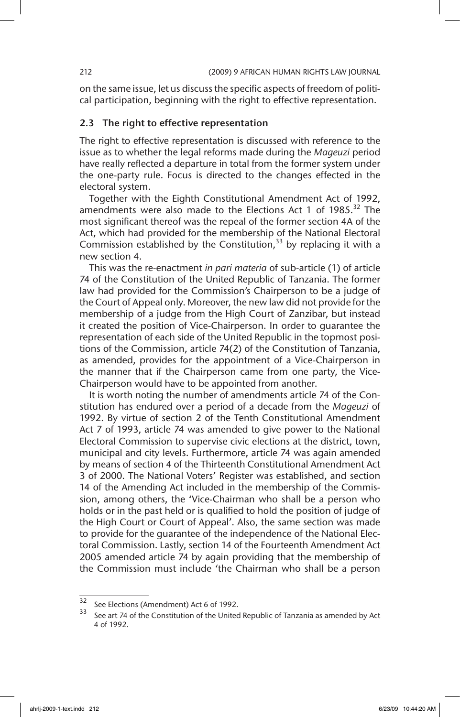on the same issue, let us discuss the specific aspects of freedom of political participation, beginning with the right to effective representation.

#### 2.3 The right to effective representation

The right to effective representation is discussed with reference to the issue as to whether the legal reforms made during the *Mageuzi* period have really reflected a departure in total from the former system under the one-party rule. Focus is directed to the changes effected in the electoral system.

Together with the Eighth Constitutional Amendment Act of 1992, amendments were also made to the Elections Act 1 of  $1985.^{32}$  The most significant thereof was the repeal of the former section 4A of the Act, which had provided for the membership of the National Electoral Commission established by the Constitution,  $33$  by replacing it with a new section 4.

This was the re-enactment *in pari materia* of sub-article (1) of article 74 of the Constitution of the United Republic of Tanzania. The former law had provided for the Commission's Chairperson to be a judge of the Court of Appeal only. Moreover, the new law did not provide for the membership of a judge from the High Court of Zanzibar, but instead it created the position of Vice-Chairperson. In order to guarantee the representation of each side of the United Republic in the topmost positions of the Commission, article 74(2) of the Constitution of Tanzania, as amended, provides for the appointment of a Vice-Chairperson in the manner that if the Chairperson came from one party, the Vice-Chairperson would have to be appointed from another.

It is worth noting the number of amendments article 74 of the Constitution has endured over a period of a decade from the *Mageuzi* of 1992. By virtue of section 2 of the Tenth Constitutional Amendment Act 7 of 1993, article 74 was amended to give power to the National Electoral Commission to supervise civic elections at the district, town, municipal and city levels. Furthermore, article 74 was again amended by means of section 4 of the Thirteenth Constitutional Amendment Act 3 of 2000. The National Voters' Register was established, and section 14 of the Amending Act included in the membership of the Commission, among others, the 'Vice-Chairman who shall be a person who holds or in the past held or is qualified to hold the position of judge of the High Court or Court of Appeal'. Also, the same section was made to provide for the guarantee of the independence of the National Electoral Commission. Lastly, section 14 of the Fourteenth Amendment Act 2005 amended article 74 by again providing that the membership of the Commission must include 'the Chairman who shall be a person

 $\overline{32}$  See Elections (Amendment) Act 6 of 1992.

See art 74 of the Constitution of the United Republic of Tanzania as amended by Act 4 of 1992.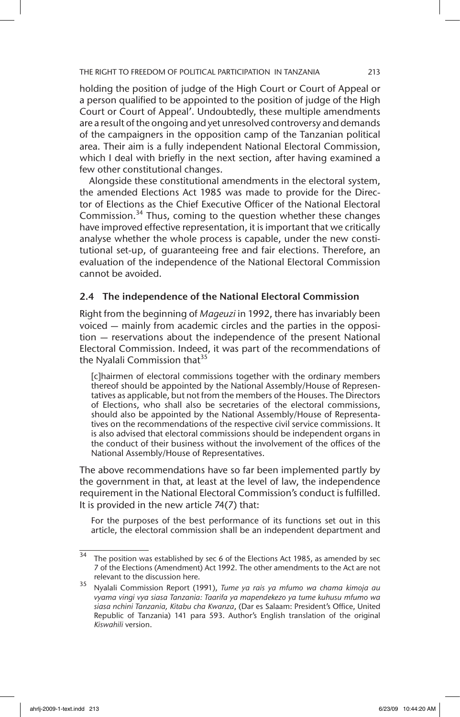holding the position of judge of the High Court or Court of Appeal or a person qualified to be appointed to the position of judge of the High Court or Court of Appeal'. Undoubtedly, these multiple amendments are a result of the ongoing and yet unresolved controversy and demands of the campaigners in the opposition camp of the Tanzanian political area. Their aim is a fully independent National Electoral Commission, which I deal with briefly in the next section, after having examined a few other constitutional changes.

Alongside these constitutional amendments in the electoral system, the amended Elections Act 1985 was made to provide for the Director of Elections as the Chief Executive Officer of the National Electoral Commission. $34$  Thus, coming to the question whether these changes have improved effective representation, it is important that we critically analyse whether the whole process is capable, under the new constitutional set-up, of guaranteeing free and fair elections. Therefore, an evaluation of the independence of the National Electoral Commission cannot be avoided.

### 2.4 The independence of the National Electoral Commission

Right from the beginning of *Mageuzi* in 1992, there has invariably been voiced — mainly from academic circles and the parties in the opposition — reservations about the independence of the present National Electoral Commission. Indeed, it was part of the recommendations of the Nyalali Commission that<sup>35</sup>

[c]hairmen of electoral commissions together with the ordinary members thereof should be appointed by the National Assembly/House of Representatives as applicable, but not from the members of the Houses. The Directors of Elections, who shall also be secretaries of the electoral commissions, should also be appointed by the National Assembly/House of Representatives on the recommendations of the respective civil service commissions. It is also advised that electoral commissions should be independent organs in the conduct of their business without the involvement of the offices of the National Assembly/House of Representatives.

The above recommendations have so far been implemented partly by the government in that, at least at the level of law, the independence requirement in the National Electoral Commission's conduct is fulfilled. It is provided in the new article 74(7) that:

For the purposes of the best performance of its functions set out in this article, the electoral commission shall be an independent department and

 $34$  The position was established by sec 6 of the Elections Act 1985, as amended by sec 7 of the Elections (Amendment) Act 1992. The other amendments to the Act are not relevant to the discussion here.

<sup>35</sup> Nyalali Commission Report (1991), *Tume ya rais ya mfumo wa chama kimoja au vyama vingi vya siasa Tanzania: Taarifa ya mapendekezo ya tume kuhusu mfumo wa siasa nchini Tanzania, Kitabu cha Kwanza*, (Dar es Salaam: President's Office, United Republic of Tanzania) 141 para 593. Author's English translation of the original *Kiswahili* version.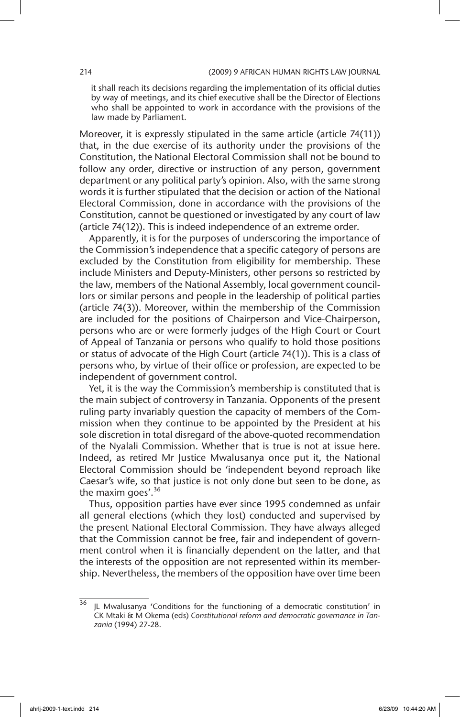it shall reach its decisions regarding the implementation of its official duties by way of meetings, and its chief executive shall be the Director of Elections who shall be appointed to work in accordance with the provisions of the law made by Parliament.

Moreover, it is expressly stipulated in the same article (article 74(11)) that, in the due exercise of its authority under the provisions of the Constitution, the National Electoral Commission shall not be bound to follow any order, directive or instruction of any person, government department or any political party's opinion. Also, with the same strong words it is further stipulated that the decision or action of the National Electoral Commission, done in accordance with the provisions of the Constitution, cannot be questioned or investigated by any court of law (article 74(12)). This is indeed independence of an extreme order.

Apparently, it is for the purposes of underscoring the importance of the Commission's independence that a specific category of persons are excluded by the Constitution from eligibility for membership. These include Ministers and Deputy-Ministers, other persons so restricted by the law, members of the National Assembly, local government councillors or similar persons and people in the leadership of political parties (article 74(3)). Moreover, within the membership of the Commission are included for the positions of Chairperson and Vice-Chairperson, persons who are or were formerly judges of the High Court or Court of Appeal of Tanzania or persons who qualify to hold those positions or status of advocate of the High Court (article 74(1)). This is a class of persons who, by virtue of their office or profession, are expected to be independent of government control.

Yet, it is the way the Commission's membership is constituted that is the main subject of controversy in Tanzania. Opponents of the present ruling party invariably question the capacity of members of the Commission when they continue to be appointed by the President at his sole discretion in total disregard of the above-quoted recommendation of the Nyalali Commission. Whether that is true is not at issue here. Indeed, as retired Mr Justice Mwalusanya once put it, the National Electoral Commission should be 'independent beyond reproach like Caesar's wife, so that justice is not only done but seen to be done, as the maxim goes'. $36$ 

Thus, opposition parties have ever since 1995 condemned as unfair all general elections (which they lost) conducted and supervised by the present National Electoral Commission. They have always alleged that the Commission cannot be free, fair and independent of government control when it is financially dependent on the latter, and that the interests of the opposition are not represented within its membership. Nevertheless, the members of the opposition have over time been

 $36$  JL Mwalusanya 'Conditions for the functioning of a democratic constitution' in CK Mtaki & M Okema (eds) *Constitutional reform and democratic governance in Tanzania* (1994) 27-28.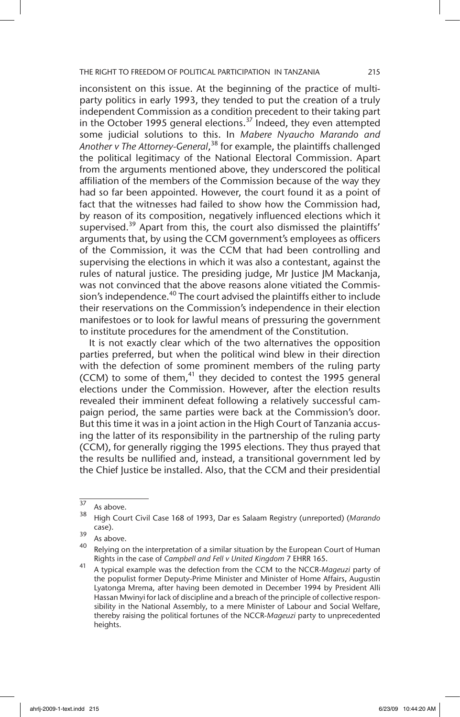inconsistent on this issue. At the beginning of the practice of multiparty politics in early 1993, they tended to put the creation of a truly independent Commission as a condition precedent to their taking part in the October 1995 general elections.<sup>37</sup> Indeed, they even attempted some judicial solutions to this. In *Mabere Nyaucho Marando and Another v The Attorney-General*, 38 for example, the plaintiffs challenged the political legitimacy of the National Electoral Commission. Apart from the arguments mentioned above, they underscored the political affiliation of the members of the Commission because of the way they had so far been appointed. However, the court found it as a point of fact that the witnesses had failed to show how the Commission had, by reason of its composition, negatively influenced elections which it supervised.<sup>39</sup> Apart from this, the court also dismissed the plaintiffs' arguments that, by using the CCM government's employees as officers of the Commission, it was the CCM that had been controlling and supervising the elections in which it was also a contestant, against the rules of natural justice. The presiding judge, Mr Justice JM Mackanja, was not convinced that the above reasons alone vitiated the Commission's independence.<sup>40</sup> The court advised the plaintiffs either to include their reservations on the Commission's independence in their election manifestoes or to look for lawful means of pressuring the government to institute procedures for the amendment of the Constitution.

It is not exactly clear which of the two alternatives the opposition parties preferred, but when the political wind blew in their direction with the defection of some prominent members of the ruling party (CCM) to some of them, $41$  they decided to contest the 1995 general elections under the Commission. However, after the election results revealed their imminent defeat following a relatively successful campaign period, the same parties were back at the Commission's door. But this time it was in a joint action in the High Court of Tanzania accusing the latter of its responsibility in the partnership of the ruling party (CCM), for generally rigging the 1995 elections. They thus prayed that the results be nullified and, instead, a transitional government led by the Chief Justice be installed. Also, that the CCM and their presidential

 $\frac{37}{38}$  As above.

<sup>38</sup> High Court Civil Case 168 of 1993, Dar es Salaam Registry (unreported) (*Marando* case).

 $\frac{39}{40}$  As above.

Relying on the interpretation of a similar situation by the European Court of Human Rights in the case of *Campbell and Fell v United Kingdom* 7 EHRR 165.

<sup>41</sup> A typical example was the defection from the CCM to the NCCR-*Mageuzi* party of the populist former Deputy-Prime Minister and Minister of Home Affairs, Augustin Lyatonga Mrema, after having been demoted in December 1994 by President Alli Hassan Mwinyi for lack of discipline and a breach of the principle of collective responsibility in the National Assembly, to a mere Minister of Labour and Social Welfare, thereby raising the political fortunes of the NCCR-*Mageuzi* party to unprecedented heights.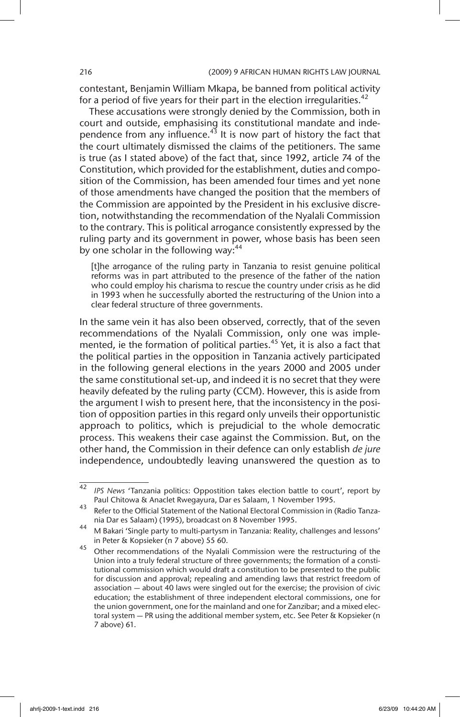contestant, Benjamin William Mkapa, be banned from political activity for a period of five years for their part in the election irregularities.<sup>42</sup>

These accusations were strongly denied by the Commission, both in court and outside, emphasising its constitutional mandate and independence from any influence.<sup>43</sup> It is now part of history the fact that the court ultimately dismissed the claims of the petitioners. The same is true (as I stated above) of the fact that, since 1992, article 74 of the Constitution, which provided for the establishment, duties and composition of the Commission, has been amended four times and yet none of those amendments have changed the position that the members of the Commission are appointed by the President in his exclusive discretion, notwithstanding the recommendation of the Nyalali Commission to the contrary. This is political arrogance consistently expressed by the ruling party and its government in power, whose basis has been seen by one scholar in the following way:<sup>44</sup>

[t]he arrogance of the ruling party in Tanzania to resist genuine political reforms was in part attributed to the presence of the father of the nation who could employ his charisma to rescue the country under crisis as he did in 1993 when he successfully aborted the restructuring of the Union into a clear federal structure of three governments.

In the same vein it has also been observed, correctly, that of the seven recommendations of the Nyalali Commission, only one was implemented, ie the formation of political parties.<sup>45</sup> Yet, it is also a fact that the political parties in the opposition in Tanzania actively participated in the following general elections in the years 2000 and 2005 under the same constitutional set-up, and indeed it is no secret that they were heavily defeated by the ruling party (CCM). However, this is aside from the argument I wish to present here, that the inconsistency in the position of opposition parties in this regard only unveils their opportunistic approach to politics, which is prejudicial to the whole democratic process. This weakens their case against the Commission. But, on the other hand, the Commission in their defence can only establish *de jure* independence, undoubtedly leaving unanswered the question as to

<sup>42</sup> *IPS News* 'Tanzania politics: Oppostition takes election battle to court', report by Paul Chitowa & Anaclet Rwegayura, Dar es Salaam, 1 November 1995.

<sup>43</sup> Refer to the Official Statement of the National Electoral Commission in (Radio Tanzania Dar es Salaam) (1995), broadcast on 8 November 1995.

<sup>44</sup> M Bakari 'Single party to multi-partysm in Tanzania: Reality, challenges and lessons' in Peter & Kopsieker (n 7 above) 55 60.

<sup>45</sup> Other recommendations of the Nyalali Commission were the restructuring of the Union into a truly federal structure of three governments; the formation of a constitutional commission which would draft a constitution to be presented to the public for discussion and approval; repealing and amending laws that restrict freedom of association — about 40 laws were singled out for the exercise; the provision of civic education; the establishment of three independent electoral commissions, one for the union government, one for the mainland and one for Zanzibar; and a mixed electoral system — PR using the additional member system, etc. See Peter & Kopsieker (n 7 above) 61.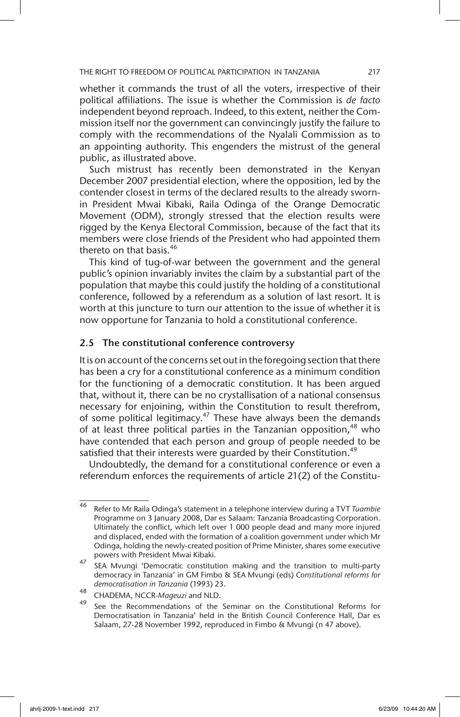whether it commands the trust of all the voters, irrespective of their political affiliations. The issue is whether the Commission is *de facto* independent beyond reproach. Indeed, to this extent, neither the Commission itself nor the government can convincingly justify the failure to comply with the recommendations of the Nyalali Commission as to an appointing authority. This engenders the mistrust of the general public, as illustrated above.

Such mistrust has recently been demonstrated in the Kenyan December 2007 presidential election, where the opposition, led by the contender closest in terms of the declared results to the already swornin President Mwai Kibaki, Raila Odinga of the Orange Democratic Movement (ODM), strongly stressed that the election results were rigged by the Kenya Electoral Commission, because of the fact that its members were close friends of the President who had appointed them thereto on that basis.<sup>46</sup>

This kind of tug-of-war between the government and the general public's opinion invariably invites the claim by a substantial part of the population that maybe this could justify the holding of a constitutional conference, followed by a referendum as a solution of last resort. It is worth at this juncture to turn our attention to the issue of whether it is now opportune for Tanzania to hold a constitutional conference.

### 2.5 The constitutional conference controversy

It is on account of the concerns set out in the foregoing section that there has been a cry for a constitutional conference as a minimum condition for the functioning of a democratic constitution. It has been argued that, without it, there can be no crystallisation of a national consensus necessary for enjoining, within the Constitution to result therefrom, of some political legitimacy.<sup>47</sup> These have always been the demands of at least three political parties in the Tanzanian opposition,<sup>48</sup> who have contended that each person and group of people needed to be satisfied that their interests were guarded by their Constitution.<sup>49</sup>

Undoubtedly, the demand for a constitutional conference or even a referendum enforces the requirements of article 21(2) of the Constitu-

<sup>46</sup> Refer to Mr Raila Odinga's statement in a telephone interview during a TVT *Tuambie* Programme on 3 January 2008, Dar es Salaam: Tanzania Broadcasting Corporation. Ultimately the conflict, which left over 1 000 people dead and many more injured and displaced, ended with the formation of a coalition government under which Mr Odinga, holding the newly-created position of Prime Minister, shares some executive powers with President Mwai Kibaki.

 $47 \overline{5}$  SEA Mvungi 'Democratic constitution making and the transition to multi-party democracy in Tanzania' in GM Fimbo & SEA Mvungi (eds) *Constitutional reforms for democratisation in Tanzania* (1993) 23.

<sup>48</sup> CHADEMA, NCCR-*Mageuzi* and NLD.

See the Recommendations of the Seminar on the Constitutional Reforms for Democratisation in Tanzania' held in the British Council Conference Hall, Dar es Salaam, 27-28 November 1992, reproduced in Fimbo & Mvungi (n 47 above).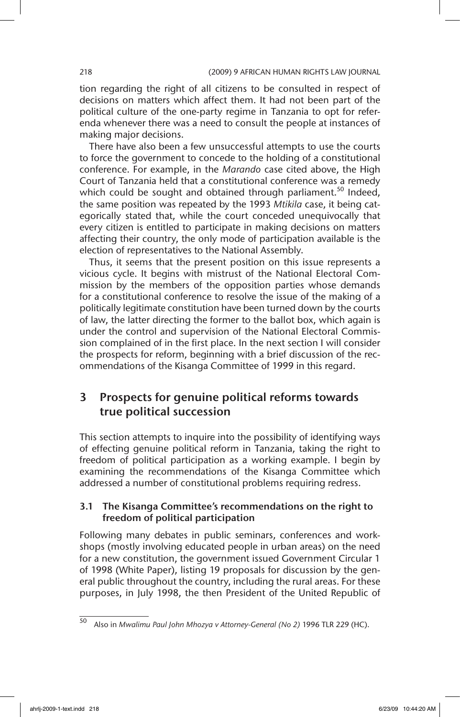tion regarding the right of all citizens to be consulted in respect of decisions on matters which affect them. It had not been part of the political culture of the one-party regime in Tanzania to opt for referenda whenever there was a need to consult the people at instances of making major decisions.

There have also been a few unsuccessful attempts to use the courts to force the government to concede to the holding of a constitutional conference. For example, in the *Marando* case cited above, the High Court of Tanzania held that a constitutional conference was a remedy which could be sought and obtained through parliament.<sup>50</sup> Indeed, the same position was repeated by the 1993 *Mtikila* case, it being categorically stated that, while the court conceded unequivocally that every citizen is entitled to participate in making decisions on matters affecting their country, the only mode of participation available is the election of representatives to the National Assembly.

Thus, it seems that the present position on this issue represents a vicious cycle. It begins with mistrust of the National Electoral Commission by the members of the opposition parties whose demands for a constitutional conference to resolve the issue of the making of a politically legitimate constitution have been turned down by the courts of law, the latter directing the former to the ballot box, which again is under the control and supervision of the National Electoral Commission complained of in the first place. In the next section I will consider the prospects for reform, beginning with a brief discussion of the recommendations of the Kisanga Committee of 1999 in this regard.

# 3 Prospects for genuine political reforms towards true political succession

This section attempts to inquire into the possibility of identifying ways of effecting genuine political reform in Tanzania, taking the right to freedom of political participation as a working example. I begin by examining the recommendations of the Kisanga Committee which addressed a number of constitutional problems requiring redress.

### 3.1 The Kisanga Committee's recommendations on the right to freedom of political participation

Following many debates in public seminars, conferences and workshops (mostly involving educated people in urban areas) on the need for a new constitution, the government issued Government Circular 1 of 1998 (White Paper), listing 19 proposals for discussion by the general public throughout the country, including the rural areas. For these purposes, in July 1998, the then President of the United Republic of

<sup>50</sup> Also in *Mwalimu Paul John Mhozya v Attorney-General (No 2)* 1996 TLR 229 (HC).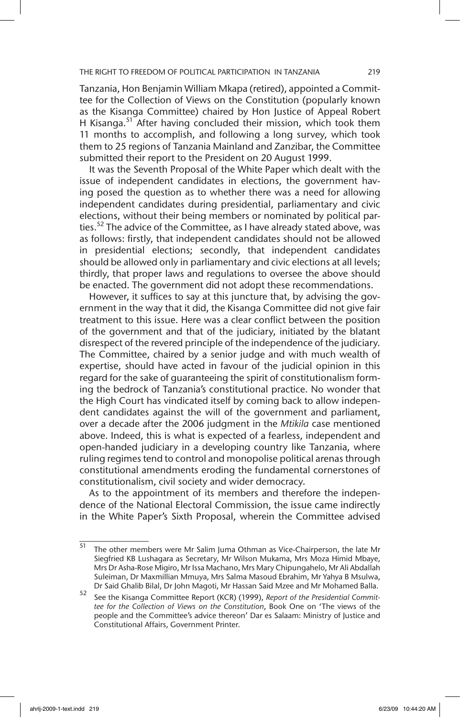Tanzania, Hon Benjamin William Mkapa (retired), appointed a Committee for the Collection of Views on the Constitution (popularly known as the Kisanga Committee) chaired by Hon Justice of Appeal Robert H Kisanga.<sup>51</sup> After having concluded their mission, which took them 11 months to accomplish, and following a long survey, which took them to 25 regions of Tanzania Mainland and Zanzibar, the Committee submitted their report to the President on 20 August 1999.

It was the Seventh Proposal of the White Paper which dealt with the issue of independent candidates in elections, the government having posed the question as to whether there was a need for allowing independent candidates during presidential, parliamentary and civic elections, without their being members or nominated by political parties.<sup>52</sup> The advice of the Committee, as I have already stated above, was as follows: firstly, that independent candidates should not be allowed in presidential elections; secondly, that independent candidates should be allowed only in parliamentary and civic elections at all levels; thirdly, that proper laws and regulations to oversee the above should be enacted. The government did not adopt these recommendations.

However, it suffices to say at this juncture that, by advising the government in the way that it did, the Kisanga Committee did not give fair treatment to this issue. Here was a clear conflict between the position of the government and that of the judiciary, initiated by the blatant disrespect of the revered principle of the independence of the judiciary. The Committee, chaired by a senior judge and with much wealth of expertise, should have acted in favour of the judicial opinion in this regard for the sake of guaranteeing the spirit of constitutionalism forming the bedrock of Tanzania's constitutional practice. No wonder that the High Court has vindicated itself by coming back to allow independent candidates against the will of the government and parliament, over a decade after the 2006 judgment in the *Mtikila* case mentioned above. Indeed, this is what is expected of a fearless, independent and open-handed judiciary in a developing country like Tanzania, where ruling regimes tend to control and monopolise political arenas through constitutional amendments eroding the fundamental cornerstones of constitutionalism, civil society and wider democracy.

As to the appointment of its members and therefore the independence of the National Electoral Commission, the issue came indirectly in the White Paper's Sixth Proposal, wherein the Committee advised

 $\frac{51}{51}$  The other members were Mr Salim Juma Othman as Vice-Chairperson, the late Mr Siegfried KB Lushagara as Secretary, Mr Wilson Mukama, Mrs Moza Himid Mbaye, Mrs Dr Asha-Rose Migiro, Mr Issa Machano, Mrs Mary Chipungahelo, Mr Ali Abdallah Suleiman, Dr Maxmillian Mmuya, Mrs Salma Masoud Ebrahim, Mr Yahya B Msulwa, Dr Said Ghalib Bilal, Dr John Magoti, Mr Hassan Said Mzee and Mr Mohamed Balla.

<sup>52</sup> See the Kisanga Committee Report (KCR) (1999), *Report of the Presidential Committee for the Collection of Views on the Constitution*, Book One on 'The views of the people and the Committee's advice thereon' Dar es Salaam: Ministry of Justice and Constitutional Affairs, Government Printer.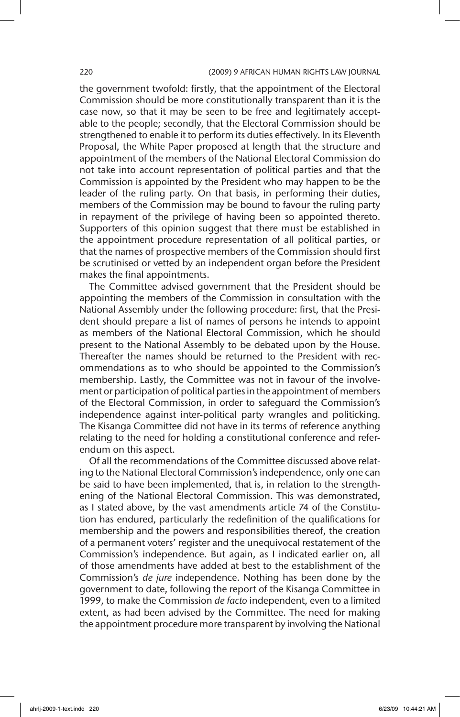#### 220 (2009) 9 AFRICAN HUMAN RIGHTS LAW JOURNAL

the government twofold: firstly, that the appointment of the Electoral Commission should be more constitutionally transparent than it is the case now, so that it may be seen to be free and legitimately acceptable to the people; secondly, that the Electoral Commission should be strengthened to enable it to perform its duties effectively. In its Eleventh Proposal, the White Paper proposed at length that the structure and appointment of the members of the National Electoral Commission do not take into account representation of political parties and that the Commission is appointed by the President who may happen to be the leader of the ruling party. On that basis, in performing their duties, members of the Commission may be bound to favour the ruling party in repayment of the privilege of having been so appointed thereto. Supporters of this opinion suggest that there must be established in the appointment procedure representation of all political parties, or that the names of prospective members of the Commission should first be scrutinised or vetted by an independent organ before the President makes the final appointments.

The Committee advised government that the President should be appointing the members of the Commission in consultation with the National Assembly under the following procedure: first, that the President should prepare a list of names of persons he intends to appoint as members of the National Electoral Commission, which he should present to the National Assembly to be debated upon by the House. Thereafter the names should be returned to the President with recommendations as to who should be appointed to the Commission's membership. Lastly, the Committee was not in favour of the involvement or participation of political parties in the appointment of members of the Electoral Commission, in order to safeguard the Commission's independence against inter-political party wrangles and politicking. The Kisanga Committee did not have in its terms of reference anything relating to the need for holding a constitutional conference and referendum on this aspect.

Of all the recommendations of the Committee discussed above relating to the National Electoral Commission's independence, only one can be said to have been implemented, that is, in relation to the strengthening of the National Electoral Commission. This was demonstrated, as I stated above, by the vast amendments article 74 of the Constitution has endured, particularly the redefinition of the qualifications for membership and the powers and responsibilities thereof, the creation of a permanent voters' register and the unequivocal restatement of the Commission's independence. But again, as I indicated earlier on, all of those amendments have added at best to the establishment of the Commission's *de jure* independence. Nothing has been done by the government to date, following the report of the Kisanga Committee in 1999, to make the Commission *de facto* independent, even to a limited extent, as had been advised by the Committee. The need for making the appointment procedure more transparent by involving the National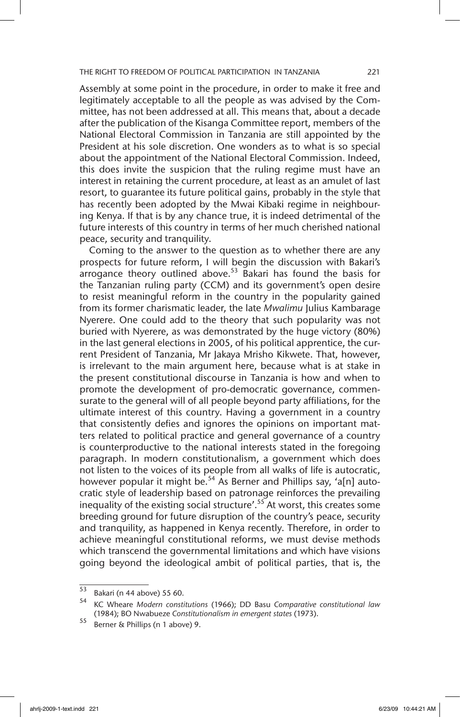Assembly at some point in the procedure, in order to make it free and legitimately acceptable to all the people as was advised by the Committee, has not been addressed at all. This means that, about a decade after the publication of the Kisanga Committee report, members of the National Electoral Commission in Tanzania are still appointed by the President at his sole discretion. One wonders as to what is so special about the appointment of the National Electoral Commission. Indeed, this does invite the suspicion that the ruling regime must have an interest in retaining the current procedure, at least as an amulet of last resort, to guarantee its future political gains, probably in the style that has recently been adopted by the Mwai Kibaki regime in neighbouring Kenya. If that is by any chance true, it is indeed detrimental of the future interests of this country in terms of her much cherished national peace, security and tranquility.

Coming to the answer to the question as to whether there are any prospects for future reform, I will begin the discussion with Bakari's  $\frac{1}{2}$ arrogance theory outlined above.<sup>53</sup> Bakari has found the basis for the Tanzanian ruling party (CCM) and its government's open desire to resist meaningful reform in the country in the popularity gained from its former charismatic leader, the late *Mwalimu* Julius Kambarage Nyerere. One could add to the theory that such popularity was not buried with Nyerere, as was demonstrated by the huge victory (80%) in the last general elections in 2005, of his political apprentice, the current President of Tanzania, Mr Jakaya Mrisho Kikwete. That, however, is irrelevant to the main argument here, because what is at stake in the present constitutional discourse in Tanzania is how and when to promote the development of pro-democratic governance, commensurate to the general will of all people beyond party affiliations, for the ultimate interest of this country. Having a government in a country that consistently defies and ignores the opinions on important matters related to political practice and general governance of a country is counterproductive to the national interests stated in the foregoing paragraph. In modern constitutionalism, a government which does not listen to the voices of its people from all walks of life is autocratic, however popular it might be.<sup>54</sup> As Berner and Phillips say, 'a[n] autocratic style of leadership based on patronage reinforces the prevailing inequality of the existing social structure'.<sup>55</sup> At worst, this creates some breeding ground for future disruption of the country's peace, security and tranquility, as happened in Kenya recently. Therefore, in order to achieve meaningful constitutional reforms, we must devise methods which transcend the governmental limitations and which have visions going beyond the ideological ambit of political parties, that is, the

 $^{53}$  Bakari (n 44 above) 55 60.

<sup>54</sup> KC Wheare *Modern constitutions* (1966); DD Basu *Comparative constitutional law* (1984); BO Nwabueze *Constitutionalism in emergent states* (1973).

 $\frac{55}{2}$  Berner & Phillips (n 1 above) 9.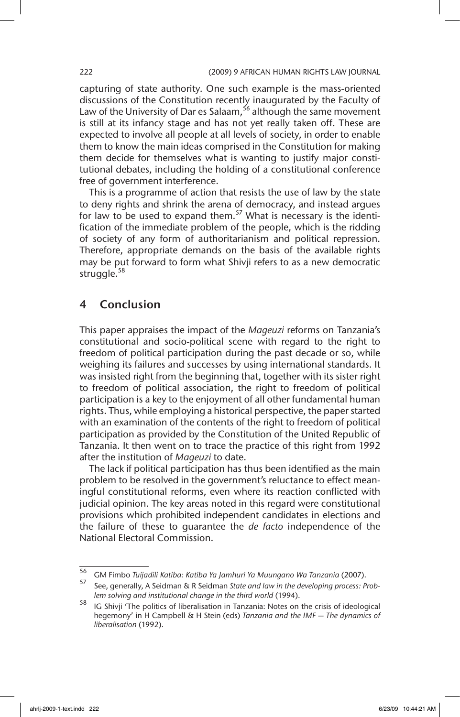capturing of state authority. One such example is the mass-oriented discussions of the Constitution recently inaugurated by the Faculty of Law of the University of Dar es Salaam,  $56$  although the same movement is still at its infancy stage and has not yet really taken off. These are expected to involve all people at all levels of society, in order to enable them to know the main ideas comprised in the Constitution for making them decide for themselves what is wanting to justify major constitutional debates, including the holding of a constitutional conference free of government interference.

This is a programme of action that resists the use of law by the state to deny rights and shrink the arena of democracy, and instead argues for law to be used to expand them.<sup>57</sup> What is necessary is the identification of the immediate problem of the people, which is the ridding of society of any form of authoritarianism and political repression. Therefore, appropriate demands on the basis of the available rights may be put forward to form what Shivji refers to as a new democratic struggle.<sup>58</sup>

# 4 Conclusion

This paper appraises the impact of the *Mageuzi* reforms on Tanzania's constitutional and socio-political scene with regard to the right to freedom of political participation during the past decade or so, while weighing its failures and successes by using international standards. It was insisted right from the beginning that, together with its sister right to freedom of political association, the right to freedom of political participation is a key to the enjoyment of all other fundamental human rights. Thus, while employing a historical perspective, the paper started with an examination of the contents of the right to freedom of political participation as provided by the Constitution of the United Republic of Tanzania. It then went on to trace the practice of this right from 1992 after the institution of *Mageuzi* to date.

The lack if political participation has thus been identified as the main problem to be resolved in the government's reluctance to effect meaningful constitutional reforms, even where its reaction conflicted with judicial opinion. The key areas noted in this regard were constitutional provisions which prohibited independent candidates in elections and the failure of these to guarantee the *de facto* independence of the National Electoral Commission.

<sup>56</sup> GM Fimbo *Tuijadili Katiba: Katiba Ya Jamhuri Ya Muungano Wa Tanzania* (2007).

<sup>57</sup> See, generally, A Seidman & R Seidman *State and law in the developing process: Problem solving and institutional change in the third world* (1994).

<sup>58</sup> IG Shivji 'The politics of liberalisation in Tanzania: Notes on the crisis of ideological hegemony' in H Campbell & H Stein (eds) *Tanzania and the IMF — The dynamics of liberalisation* (1992).